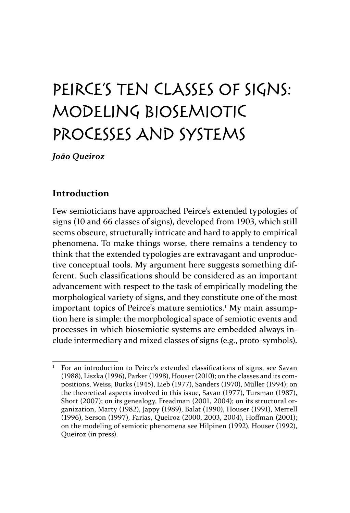## Peirce's ten classes of signs: Modeling biosemiotic processes and systems

*João Queiroz*

## **Introduction**

Few semioticians have approached Peirce's extended typologies of signs (10 and 66 classes of signs), developed from 1903, which still seems obscure, structurally intricate and hard to apply to empirical phenomena. To make things worse, there remains a tendency to think that the extended typologies are extravagant and unproductive conceptual tools. My argument here suggests something different. Such classifications should be considered as an important advancement with respect to the task of empirically modeling the morphological variety of signs, and they constitute one of the most important topics of Peirce's mature semiotics.<sup>1</sup> My main assumption here is simple: the morphological space of semiotic events and processes in which biosemiotic systems are embedded always include intermediary and mixed classes of signs (e.g*.*, proto-symbols).

<sup>1</sup> For an introduction to Peirce's extended classifications of signs, see Savan (1988), Liszka (1996), Parker (1998), Houser (2010); on the classes and its compositions, Weiss, Burks (1945), Lieb (1977), Sanders (1970), Müller (1994); on the theoretical aspects involved in this issue, Savan (1977), Tursman (1987), Short (2007); on its genealogy, Freadman (2001, 2004); on its structural organization, Marty (1982), Jappy (1989), Balat (1990), Houser (1991), Merrell (1996), Serson (1997), Farias, Queiroz (2000, 2003, 2004), Hoffman (2001); on the modeling of semiotic phenomena see Hilpinen (1992), Houser (1992), Queiroz (in press).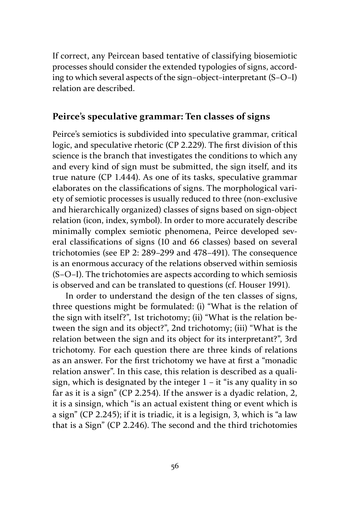If correct, any Peircean based tentative of classifying biosemiotic processes should consider the extended typologies of signs, according to which several aspects of the sign–object–interpretant (S–O–I) relation are described.

## **Peirce's speculative grammar: Ten classes of signs**

Peirce's semiotics is subdivided into speculative grammar, critical logic, and speculative rhetoric (CP 2.229). The first division of this science is the branch that investigates the conditions to which any and every kind of sign must be submitted, the sign itself, and its true nature (CP 1.444). As one of its tasks, speculative grammar elaborates on the classifications of signs. The morphological variety of semiotic processes is usually reduced to three (non-exclusive and hierarchically organized) classes of signs based on sign-object relation (icon, index, symbol). In order to more accurately describe minimally complex semiotic phenomena, Peirce developed several classifications of signs (10 and 66 classes) based on several trichotomies (see EP 2: 289–299 and 478–491). The consequence is an enormous accuracy of the relations observed within semiosis (S–O–I). The trichotomies are aspects according to which semiosis is observed and can be translated to questions (cf. Houser 1991).

In order to understand the design of the ten classes of signs, three questions might be formulated: (i) "What is the relation of the sign with itself?", 1st trichotomy; (ii) "What is the relation between the sign and its object?", 2nd trichotomy; (iii) "What is the relation between the sign and its object for its interpretant?", 3rd trichotomy. For each question there are three kinds of relations as an answer. For the first trichotomy we have at first a "monadic relation answer". In this case, this relation is described as a qualisign, which is designated by the integer  $1 - it$  "is any quality in so far as it is a sign" (CP 2.254). If the answer is a dyadic relation, 2, it is a sinsign, which "is an actual existent thing or event which is a sign" (CP 2.245); if it is triadic, it is a legisign, 3, which is "a law that is a Sign" (CP 2.246). The second and the third trichotomies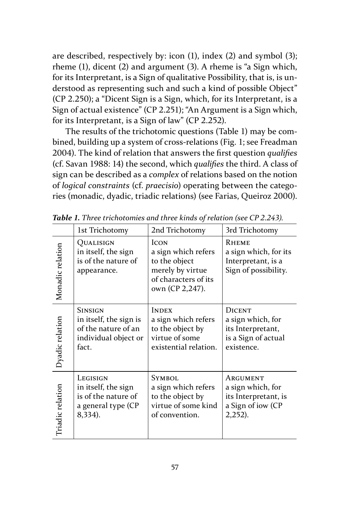are described, respectively by: icon (1), index (2) and symbol (3); rheme (1), dicent (2) and argument (3). A rheme is "a Sign which, for its Interpretant, is a Sign of qualitative Possibility, that is, is understood as representing such and such a kind of possible Object" (CP 2.250); a "Dicent Sign is a Sign, which, for its Interpretant, is a Sign of actual existence" (CP 2.251); "An Argument is a Sign which, for its Interpretant, is a Sign of law" (CP 2.252).

The results of the trichotomic questions (Table 1) may be combined, building up a system of cross-relations (Fig. 1; see Freadman 2004). The kind of relation that answers the first question *qualifies* (cf. Savan 1988: 14) the second, which *qualifies* the third. A class of sign can be described as a *complex* of relations based on the notion of *logical constraints* (cf. *praecisio*) operating between the categories (monadic, dyadic, triadic relations) (see Farias, Queiroz 2000).

|                  | 1st Trichotomy                                                                                   | 2nd Trichotomy                                                                                                     | 3rd Trichotomy                                                                               |
|------------------|--------------------------------------------------------------------------------------------------|--------------------------------------------------------------------------------------------------------------------|----------------------------------------------------------------------------------------------|
| Monadic relation | QUALISIGN<br>in itself, the sign<br>is of the nature of<br>appearance.                           | <b>ICON</b><br>a sign which refers<br>to the object<br>merely by virtue<br>of characters of its<br>own (CP 2,247). | <b>RHEME</b><br>a sign which, for its<br>Interpretant, is a<br>Sign of possibility.          |
| Dyadic relation  | <b>SINSIGN</b><br>in itself, the sign is<br>of the nature of an<br>individual object or<br>fact. | <b>INDEX</b><br>a sign which refers<br>to the object by<br>virtue of some<br>existential relation.                 | <b>DICENT</b><br>a sign which, for<br>its Interpretant,<br>is a Sign of actual<br>existence. |
| Triadic relation | LEGISIGN<br>in itself, the sign<br>is of the nature of<br>a general type (CP<br>8,334).          | <b>SYMBOL</b><br>a sign which refers<br>to the object by<br>virtue of some kind<br>of convention.                  | ARGUMENT<br>a sign which, for<br>its Interpretant, is<br>a Sign of iow (CP<br>$2,252$ ).     |

*Table 1. Three trichotomies and three kinds of relation (see CP 2.243).*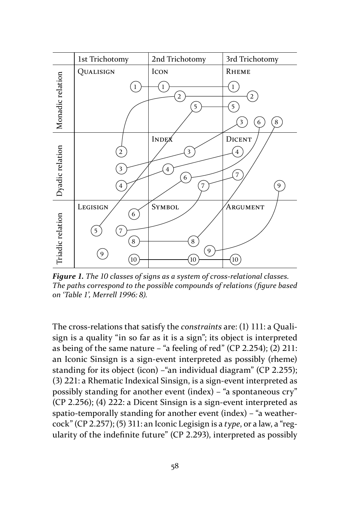

*Figure 1. The 10 classes of signs as a system of cross-relational classes. The paths correspond to the possible compounds of relations (figure based on 'Table 1', Merrell 1996: 8).*

The cross-relations that satisfy the *constraints* are: (1) 111: a Qualisign is a quality "in so far as it is a sign"; its object is interpreted as being of the same nature – "a feeling of red" (CP 2.254); (2) 211: an Iconic Sinsign is a sign-event interpreted as possibly (rheme) standing for its object (icon) –"an individual diagram" (CP 2.255); (3) 221: a Rhematic Indexical Sinsign, is a sign-event interpreted as possibly standing for another event (index) – "a spontaneous cry" (CP 2.256); (4) 222: a Dicent Sinsign is a sign-event interpreted as spatio-temporally standing for another event (index) – "a weathercock" (CP 2.257); (5) 311: an Iconic Legisign is a *type*, or a law, a "regularity of the indefinite future" (CP 2.293), interpreted as possibly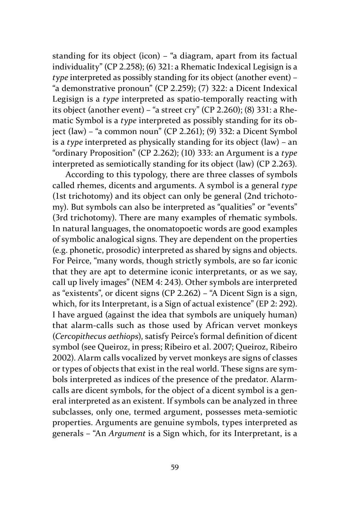standing for its object (icon) – "a diagram, apart from its factual individuality" (CP 2.258); (6) 321: a Rhematic Indexical Legisign is a *type* interpreted as possibly standing for its object (another event) – "a demonstrative pronoun" (CP 2.259); (7) 322: a Dicent Indexical Legisign is a *type* interpreted as spatio-temporally reacting with its object (another event) – "a street cry" (CP 2.260); (8) 331: a Rhematic Symbol is a *type* interpreted as possibly standing for its object (law) – "a common noun" (CP 2.261); (9) 332: a Dicent Symbol is a *type* interpreted as physically standing for its object (law) – an "ordinary Proposition" (CP 2.262); (10) 333: an Argument is a *type*  interpreted as semiotically standing for its object (law) (CP 2.263).

According to this typology, there are three classes of symbols called rhemes, dicents and arguments. A symbol is a general *type*  (1st trichotomy) and its object can only be general (2nd trichotomy). But symbols can also be interpreted as "qualities" or "events" (3rd trichotomy). There are many examples of rhematic symbols. In natural languages, the onomatopoetic words are good examples of symbolic analogical signs. They are dependent on the properties (e.g. phonetic, prosodic) interpreted as shared by signs and objects. For Peirce, "many words, though strictly symbols, are so far iconic that they are apt to determine iconic interpretants, or as we say, call up lively images" (NEM 4: 243). Other symbols are interpreted as "existents", or dicent signs (CP 2.262) – "A Dicent Sign is a sign, which, for its Interpretant, is a Sign of actual existence" (EP 2: 292). I have argued (against the idea that symbols are uniquely human) that alarm-calls such as those used by African vervet monkeys (*Cercopithecus aethiops*), satisfy Peirce's formal definition of dicent symbol (see Queiroz, in press; Ribeiro et al. 2007; Queiroz, Ribeiro 2002). Alarm calls vocalized by vervet monkeys are signs of classes or types of objects that exist in the real world. These signs are symbols interpreted as indices of the presence of the predator. Alarmcalls are dicent symbols, for the object of a dicent symbol is a general interpreted as an existent. If symbols can be analyzed in three subclasses, only one, termed argument, possesses meta-semiotic properties. Arguments are genuine symbols, types interpreted as generals – "An *Argument* is a Sign which, for its Interpretant, is a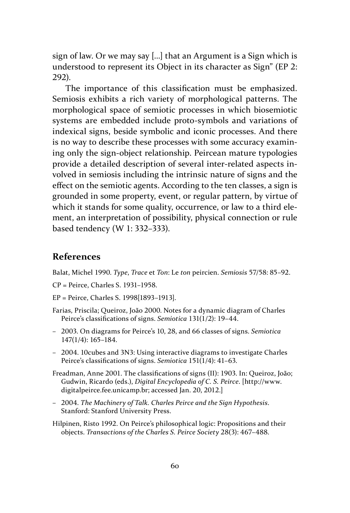sign of law. Or we may say [...] that an Argument is a Sign which is understood to represent its Object in its character as Sign" (EP 2: 292).

The importance of this classification must be emphasized. Semiosis exhibits a rich variety of morphological patterns. The morphological space of semiotic processes in which biosemiotic systems are embedded include proto-symbols and variations of indexical signs, beside symbolic and iconic processes. And there is no way to describe these processes with some accuracy examining only the sign-object relationship. Peircean mature typologies provide a detailed description of several inter-related aspects involved in semiosis including the intrinsic nature of signs and the effect on the semiotic agents. According to the ten classes, a sign is grounded in some property, event, or regular pattern, by virtue of which it stands for some quality, occurrence, or law to a third element, an interpretation of possibility, physical connection or rule based tendency (W 1: 332–333).

## **References**

Balat, Michel 1990. *Type*, *Trace* et *Ton*: Le *ton* peircien. *Semiosis* 57/58: 85–92.

- CP = Peirce, Charles S. 1931–1958.
- EP = Peirce, Charles S. 1998[1893–1913].
- Farias, Priscila; Queiroz, João 2000. Notes for a dynamic diagram of Charles Peirce's classifications of signs. *Semiotica* 131(1/2): 19–44.
- 2003. On diagrams for Peirce's 10, 28, and 66 classes of signs. *Semiotica*  147(1/4): 165–184.
- 2004. 10cubes and 3N3: Using interactive diagrams to investigate Charles Peirce's classifications of signs. *Semiotica* 151(1/4): 41–63.
- Freadman, Anne 2001. The classifications of signs (II): 1903. In: Queiroz, João; Gudwin, Ricardo (eds.), *Digital Encyclopedia of C. S. Peirce*. [http://www. digitalpeirce.fee.unicamp.br; accessed Jan. 20, 2012.]
- 2004. *The Machinery of Talk. Charles Peirce and the Sign Hypothesis*. Stanford: Stanford University Press.

Hilpinen, Risto 1992. On Peirce's philosophical logic: Propositions and their objects. *Transactions of the Charles S. Peirce Society* 28(3): 467–488.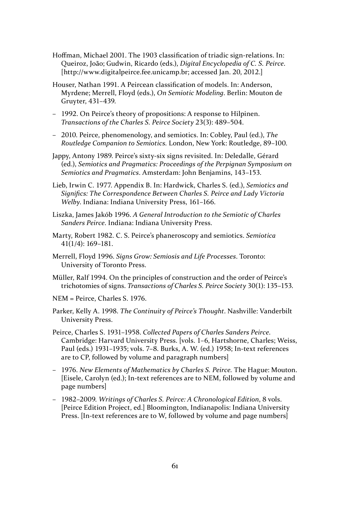- Hoffman, Michael 2001. The 1903 classification of triadic sign-relations. In: Queiroz, João; Gudwin, Ricardo (eds.), *Digital Encyclopedia of C. S. Peirce*. [http://www.digitalpeirce.fee.unicamp.br; accessed Jan. 20, 2012.]
- Houser, Nathan 1991. A Peircean classification of models. In: Anderson, Myrdene; Merrell, Floyd (eds.), *On Semiotic Modeling*. Berlin: Mouton de Gruyter, 431–439.
- 1992. On Peirce's theory of propositions: A response to Hilpinen. *Transactions of the Charles S. Peirce Society* 23(3): 489–504.
- 2010. Peirce, phenomenology, and semiotics. In: Cobley, Paul (ed.), *The Routledge Companion to Semiotics.* London, New York: Routledge, 89–100.
- Jappy, Antony 1989. Peirce's sixty-six signs revisited. In: Deledalle, Gérard (ed.), *Semiotics and Pragmatics: Proceedings of the Perpignan Symposium on Semiotics and Pragmatics*. Amsterdam: John Benjamins, 143–153.
- Lieb, Irwin C. 1977. Appendix B. In: Hardwick, Charles S. (ed.), *Semiotics and Significs: The Correspondence Between Charles S. Peirce and Lady Victoria Welby*. Indiana: Indiana University Press, 161–166.
- Liszka, James Jakób 1996. *A General Introduction to the Semiotic of Charles Sanders Peirce*. Indiana: Indiana University Press.
- Marty, Robert 1982. C. S. Peirce's phaneroscopy and semiotics. *Semiotica* 41(1/4): 169–181.
- Merrell, Floyd 1996. *Signs Grow: Semiosis and Life Processes*. Toronto: University of Toronto Press.
- Müller, Ralf 1994. On the principles of construction and the order of Peirce's trichotomies of signs. *Transactions of Charles S. Peirce Society* 30(1): 135–153.
- NEM = Peirce, Charles S. 1976.
- Parker, Kelly A. 1998. *The Continuity of Peirce's Thought*. Nashville: Vanderbilt University Press.
- Peirce, Charles S. 1931–1958. *Collected Papers of Charles Sanders Peirce*. Cambridge: Harvard University Press. [vols. 1–6, Hartshorne, Charles; Weiss, Paul (eds.) 1931–1935; vols. 7–8. Burks, A. W. (ed.) 1958; In-text references are to CP, followed by volume and paragraph numbers]
- 1976. *New Elements of Mathematics by Charles S. Peirce.* The Hague: Mouton. [Eisele, Carolyn (ed.); In-text references are to NEM, followed by volume and page numbers]
- 1982–2009. *Writings of Charles S. Peirce: A Chronological Edition*, 8 vols. [Peirce Edition Project, ed.] Bloomington, Indianapolis: Indiana University Press. [In-text references are to W, followed by volume and page numbers]